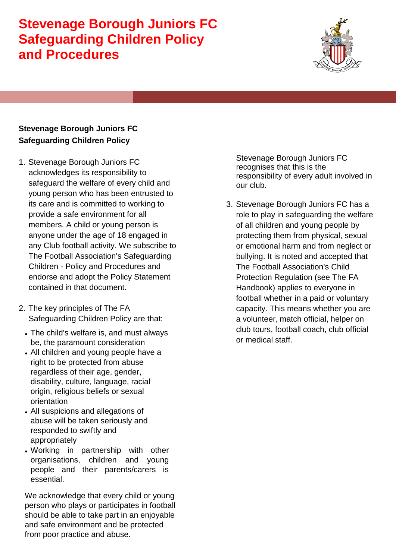

#### **Stevenage Borough Juniors FC Safeguarding Children Policy**

- 1. Stevenage Borough Juniors FC acknowledges its responsibility to safeguard the welfare of every child and young person who has been entrusted to its care and is committed to working to provide a safe environment for all members. A child or young person is anyone under the age of 18 engaged in any Club football activity. We subscribe to The Football Association's Safeguarding Children - Policy and Procedures and endorse and adopt the Policy Statement contained in that document.
- 2. The key principles of The FA Safeguarding Children Policy are that:
	- The child's welfare is, and must always be, the paramount consideration
	- All children and young people have a right to be protected from abuse regardless of their age, gender, disability, culture, language, racial origin, religious beliefs or sexual orientation
	- All suspicions and allegations of abuse will be taken seriously and responded to swiftly and appropriately
	- Working in partnership with other organisations, children and young people and their parents/carers is essential.

We acknowledge that every child or young person who plays or participates in football should be able to take part in an enjoyable and safe environment and be protected from poor practice and abuse.

Stevenage Borough Juniors FC recognises that this is the responsibility of every adult involved in our club.

3. Stevenage Borough Juniors FC has a role to play in safeguarding the welfare of all children and young people by protecting them from physical, sexual or emotional harm and from neglect or bullying. It is noted and accepted that The Football Association's Child Protection Regulation (see The FA Handbook) applies to everyone in football whether in a paid or voluntary capacity. This means whether you are a volunteer, match official, helper on club tours, football coach, club official or medical staff.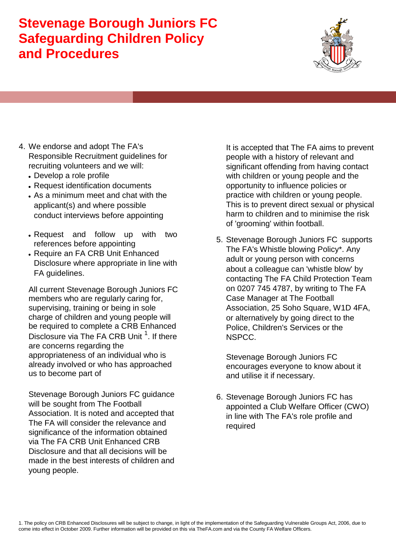

- 4. We endorse and adopt The FA's Responsible Recruitment guidelines for recruiting volunteers and we will:
	- Develop a role profile
	- Request identification documents
	- As a minimum meet and chat with the applicant(s) and where possible conduct interviews before appointing
	- Request and follow up with two references before appointing
	- Require an FA CRB Unit Enhanced Disclosure where appropriate in line with FA guidelines.

All current Stevenage Borough Juniors FC members who are regularly caring for, supervising, training or being in sole charge of children and young people will be required to complete a CRB Enhanced Disclosure via The FA CRB Unit <sup>1</sup>. If there are concerns regarding the appropriateness of an individual who is already involved or who has approached us to become part of

Stevenage Borough Juniors FC guidance will be sought from The Football Association. It is noted and accepted that The FA will consider the relevance and significance of the information obtained via The FA CRB Unit Enhanced CRB Disclosure and that all decisions will be made in the best interests of children and young people.

It is accepted that The FA aims to prevent people with a history of relevant and significant offending from having contact with children or young people and the opportunity to influence policies or practice with children or young people. This is to prevent direct sexual or physical harm to children and to minimise the risk of 'grooming' within football.

5. Stevenage Borough Juniors FC supports The FA's Whistle blowing Policy\*. Any adult or young person with concerns about a colleague can 'whistle blow' by contacting The FA Child Protection Team on 0207 745 4787, by writing to The FA Case Manager at The Football Association, 25 Soho Square, W1D 4FA, or alternatively by going direct to the Police, Children's Services or the NSPCC.

Stevenage Borough Juniors FC encourages everyone to know about it and utilise it if necessary.

6. Stevenage Borough Juniors FC has appointed a Club Welfare Officer (CWO) in line with The FA's role profile and required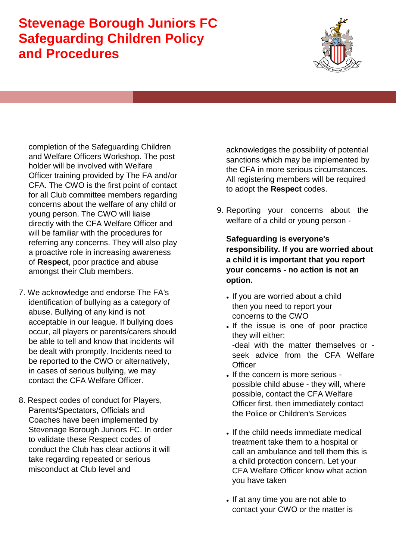

completion of the Safeguarding Children and Welfare Officers Workshop. The post holder will be involved with Welfare Officer training provided by The FA and/or CFA. The CWO is the first point of contact for all Club committee members regarding concerns about the welfare of any child or young person. The CWO will liaise directly with the CFA Welfare Officer and will be familiar with the procedures for referring any concerns. They will also play a proactive role in increasing awareness of **Respect**, poor practice and abuse amongst their Club members.

- 7. We acknowledge and endorse The FA's identification of bullying as a category of abuse. Bullying of any kind is not acceptable in our league. If bullying does occur, all players or parents/carers should be able to tell and know that incidents will be dealt with promptly. Incidents need to be reported to the CWO or alternatively, in cases of serious bullying, we may contact the CFA Welfare Officer.
- 8. Respect codes of conduct for Players, Parents/Spectators, Officials and Coaches have been implemented by Stevenage Borough Juniors FC. In order to validate these Respect codes of conduct the Club has clear actions it will take regarding repeated or serious misconduct at Club level and

acknowledges the possibility of potential sanctions which may be implemented by the CFA in more serious circumstances. All registering members will be required to adopt the **Respect** codes.

9. Reporting your concerns about the welfare of a child or young person -

**Safeguarding is everyone's responsibility. If you are worried about a child it is important that you report your concerns - no action is not an option.** 

- If you are worried about a child then you need to report your concerns to the CWO
- If the issue is one of poor practice they will either: -deal with the matter themselves or seek advice from the CFA Welfare **Officer**
- If the concern is more serious possible child abuse - they will, where possible, contact the CFA Welfare Officer first, then immediately contact the Police or Children's Services
- If the child needs immediate medical treatment take them to a hospital or call an ambulance and tell them this is a child protection concern. Let your CFA Welfare Officer know what action you have taken
- If at any time you are not able to contact your CWO or the matter is